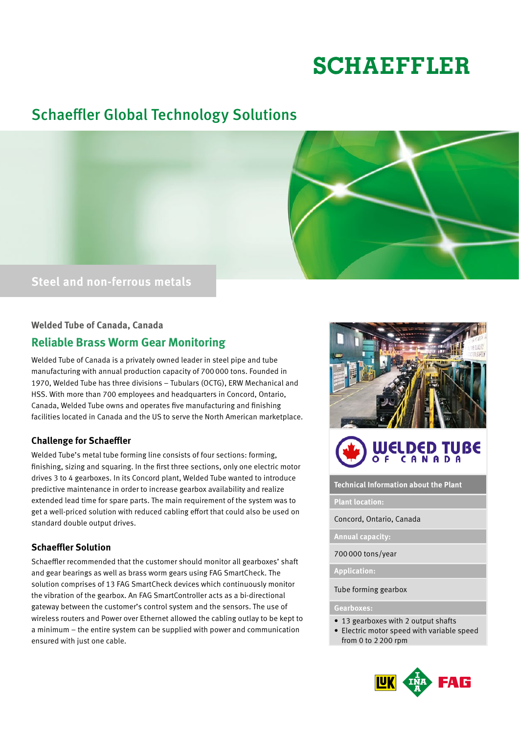# **SCHAEFFLER**

# Schaeffler Global Technology Solutions



# **Steel and non-ferrous metals**

## **Welded Tube of Canada, Canada**

# **Reliable Brass Worm Gear Monitoring**

Welded Tube of Canada is a privately owned leader in steel pipe and tube manufacturing with annual production capacity of 700000 tons. Founded in 1970, Welded Tube has three divisions – Tubulars (OCTG), ERW Mechanical and HSS. With more than 700 employees and headquarters in Concord, Ontario, Canada, Welded Tube owns and operates five manufacturing and finishing facilities located in Canada and the US to serve the North American marketplace.

# **Challenge for Schaeffler**

Welded Tube's metal tube forming line consists of four sections: forming, finishing, sizing and squaring. In the first three sections, only one electric motor drives 3 to 4 gearboxes. In its Concord plant, Welded Tube wanted to introduce predictive maintenance in order to increase gearbox availability and realize extended lead time for spare parts. The main requirement of the system was to get a well-priced solution with reduced cabling effort that could also be used on standard double output drives.

# **Schaeffler Solution**

Schaeffler recommended that the customer should monitor all gearboxes' shaft and gear bearings as well as brass worm gears using FAG SmartCheck. The solution comprises of 13 FAG SmartCheck devices which continuously monitor the vibration of the gearbox. An FAG SmartController acts as a bi-directional gateway between the customer's control system and the sensors. The use of wireless routers and Power over Ethernet allowed the cabling outlay to be kept to a minimum – the entire system can be supplied with power and communication ensured with just one cable.





**Technical Information about the Plant**

#### **Plant location:**

Concord, Ontario, Canada

**Annual capacity:** 

700000 tons/year

**Application:** 

Tube forming gearbox

#### **Gearboxes:**

- 13 gearboxes with 2 output shafts
- Electric motor speed with variable speed from 0 to 2200 rpm